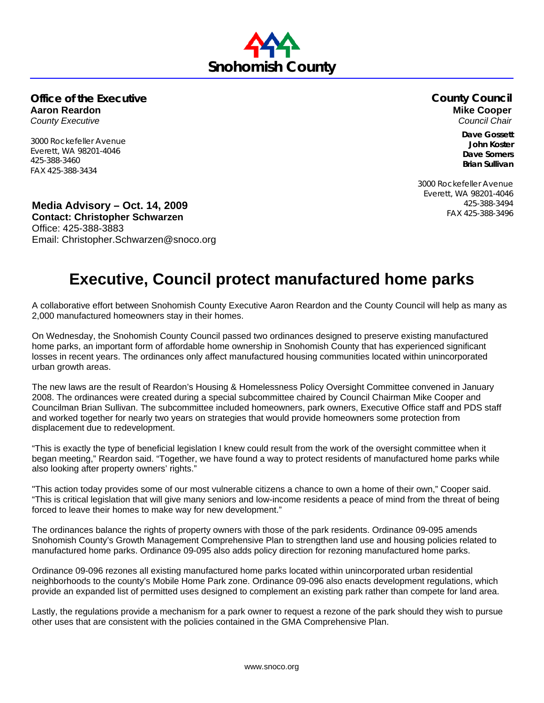## **Office of the Executive Aaron Reardon** *County Executive*

3000 Rockefeller Avenue Everett, WA 98201-4046 425-388-3460 FAX 425-388-3434

FAX 425-388-3496 **Media Advisory – Oct. 14, 2009 Contact: Christopher Schwarzen**  Office: 425-388-3883 Email: Christopher.Schwarzen@snoco.org

## **Executive, Council protect manufactured home parks**

A collaborative effort between Snohomish County Executive Aaron Reardon and the County Council will help as many as 2,000 manufactured homeowners stay in their homes.

On Wednesday, the Snohomish County Council passed two ordinances designed to preserve existing manufactured home parks, an important form of affordable home ownership in Snohomish County that has experienced significant losses in recent years. The ordinances only affect manufactured housing communities located within unincorporated urban growth areas.

The new laws are the result of Reardon's Housing & Homelessness Policy Oversight Committee convened in January 2008. The ordinances were created during a special subcommittee chaired by Council Chairman Mike Cooper and Councilman Brian Sullivan. The subcommittee included homeowners, park owners, Executive Office staff and PDS staff and worked together for nearly two years on strategies that would provide homeowners some protection from displacement due to redevelopment.

"This is exactly the type of beneficial legislation I knew could result from the work of the oversight committee when it began meeting," Reardon said. "Together, we have found a way to protect residents of manufactured home parks while also looking after property owners' rights."

"This action today provides some of our most vulnerable citizens a chance to own a home of their own," Cooper said. "This is critical legislation that will give many seniors and low-income residents a peace of mind from the threat of being forced to leave their homes to make way for new development."

The ordinances balance the rights of property owners with those of the park residents. Ordinance 09-095 amends Snohomish County's Growth Management Comprehensive Plan to strengthen land use and housing policies related to manufactured home parks. Ordinance 09-095 also adds policy direction for rezoning manufactured home parks.

Ordinance 09-096 rezones all existing manufactured home parks located within unincorporated urban residential neighborhoods to the county's Mobile Home Park zone. Ordinance 09-096 also enacts development regulations, which provide an expanded list of permitted uses designed to complement an existing park rather than compete for land area.

Lastly, the regulations provide a mechanism for a park owner to request a rezone of the park should they wish to pursue other uses that are consistent with the policies contained in the GMA Comprehensive Plan.

## **Snohomish County**

## **County Council Mike Cooper**  *Council Chair*

**Dave Gossett John Koster Dave Somers Brian Sullivan** 

3000 Rockefeller Avenue Everett, WA 98201-4046 425-388-3494